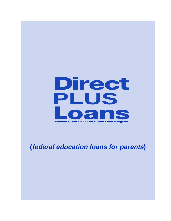

**(federal education loans for parents)**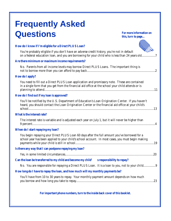# **Frequently Asked Questions**

**For more information on this, turn to page...**

| How do I know if I'm eligible for a Direct PLUS Loan?                                                                                                                                                 |
|-------------------------------------------------------------------------------------------------------------------------------------------------------------------------------------------------------|
| You're probably eligible if you don't have an adverse credit history, you're not in default<br>on a federal education loan, and you are borrowing for your child who is less than 24 years old7       |
| Are there minimum or maximum income requirements?                                                                                                                                                     |
| No. Parents from all income levels may borrow Direct PLUS Loans. The important thing is                                                                                                               |
| How do I apply?                                                                                                                                                                                       |
| You need to fill out a Direct PLUS Loan application and promissory note. These are contained<br>in a single form that you get from the financial aid office at the school your child attends or is    |
| How do I find out if my loan is approved?                                                                                                                                                             |
| You'll be notified by the U.S. Department of Education's Loan Origination Center. If you haven't<br>heard, you should contact the Loan Origination Center or the financial aid office at your child's |
| What is the interest rate?                                                                                                                                                                            |
| The interest rate is variable and is adjusted each year on July 1, but it will never be higher than                                                                                                   |
| When do I start repaying my loan?                                                                                                                                                                     |
| You begin repaying your Direct PLUS Loan 60 days after the full amount you've borrowed for a<br>school year has been applied to your child's school account. In most cases, you must begin making     |
| Is there any way that I can postpone repaying my loan?                                                                                                                                                |
|                                                                                                                                                                                                       |
| Can the loan be transferred to my child and become my child' s responsibility to repay?                                                                                                               |
| No. You are responsible for repaying a Direct PLUS Loan. It is a loan to you, not to your child9                                                                                                      |
| How long do I have to repay the loan, and how much will my monthly payments be?                                                                                                                       |
| You'll have from 10 to 30 years to repay. Your monthly payment amount depends on how much<br>.23                                                                                                      |
| For important phone numbers, turn to the inside back cover of this booklet.                                                                                                                           |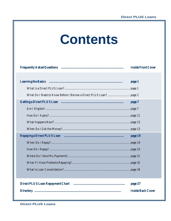# **Contents**

| <b>Inside Front Cover</b> |
|---------------------------|
|                           |
| page 1                    |
|                           |
|                           |
| page 7                    |
|                           |
|                           |
|                           |
|                           |
| page 19                   |
|                           |
|                           |
|                           |
|                           |
|                           |
|                           |
| page 37                   |
| <b>Inside Back Cover</b>  |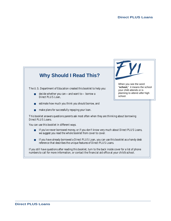# **Why Should I Read This?**

The U.S. Department of Education created this booklet to help you:

- decide whether you can—and want to— borrow a Direct PLUS Loan,
- estimate how much you think you should borrow, and
- make plans for successfully repaying your loan.

This booklet answers questions parents ask most often when they are thinking about borrowing Direct PLUS Loans.

You can use this booklet in different ways.

- If you've never borrowed money, or if you don't know very much about Direct PLUS Loans, we suggest you read the whole booklet from cover to cover.
- If you have already borrowed a Direct PLUS Loan, you can use this booklet as a handy desk reference that describes the unique features of Direct PLUS Loans.

If you still have questions after reading this booklet, turn to the back inside cover for a list of phone numbers to call for more information, or contact the financial aid office at your child's school.



When you see the word "**school,**" it means the school your child attends or is planning to attend after high school.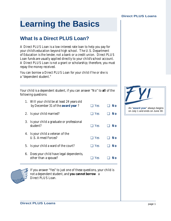# **Learning the Basics**

# **What Is a Direct PLUS Loan?**

A Direct PLUS Loan is a low-interest rate loan to help you pay for your child's education beyond high school. The U.S. Department of Education is the lender, not a bank or a credit union. Direct PLUS Loan funds are usually applied directly to your child's school account. A Direct PLUS Loan is not a grant or scholarship; therefore, you must repay the money received.

You can borrow a Direct PLUS Loan for your child if he or she is a "dependent student."

Your child is a dependent student, if you can answer "No" to **all** of the following questions:

- 1. Will your child be at least 24 years old by December 31 of the **award year** ? ❑ Yes ❑ **No** 2. Is your child married? ❑ Yes ❑ **No** 3. Is your child a graduate or professional student? ❑ Yes ❑ **No** 4. Is your child a veteran of the U.S. Armed Forces? ❑ Yes ❑ **No** 5. Is your child a ward of the court? ❑ Yes ❑ **No**
- 6. Does your child have legal dependents, other than a spouse? ❑ Yes ❑ **No**



If you answer "Yes" to just one of these questions, your child is not a dependent student, and **you cannot borrow** a Direct PLUS Loan.

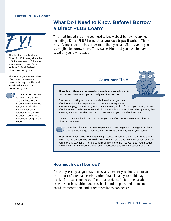

This booklet is only about Direct PLUS Loans, which the U.S. Department of Education administers as part of the William D. Ford Federal Direct Loan Program.

The federal government also offers a PLUS Loan for parents through the Federal Family Education Loan (FFEL) Program.



#### You **can't borrow both**

an FFEL PLUS Loan and a Direct PLUS Loan at the same time for your child. The school your child attends or is planning to attend can tell you which loan programs it offers.

## **What Do I Need to Know Before I Borrow a Direct PLUS Loan?**

The most important thing you need to know about borrowing any loan, including a Direct PLUS Loan, is that **you have to pay it back.** That's why it's important not to borrow more than you can afford, even if you are eligible to borrow more. This is a decision that you have to make based on your own situation.

#### **Consumer Tip #1**



**There is a difference between how much you are allowed to borrow and how much you actually want to borrow**.

One way of thinking about this is to decide whether you can afford to add another expense each month to the expenses you already pay, such as rent, food, transportation, and so forth. If you think you can

afford another monthly expense and still pay for all your other financial obligations, then you may want to consider how much more a month you can afford to spend.

Once you have decided how much extra you can afford to repay each month on a Direct PLUS Loan,



■ go to the "Direct PLUS Loan Repayment Chart" beginning on page 37 to help estimate how large a loan you can borrow and still stay within your budget.

**Important:** If your child will be attending a school for longer than a year, keep this in mind—as the amount you borrow in Direct PLUS Loans each year increases, so does your monthly payment. Therefore, don't borrow more the first year than your budget can handle over the course of your child's education and your increased borrowing.

#### **How much can I borrow?**

Generally, each year you may borrow any amount you choose up to your child's cost of attendance minus other financial aid your child may receive for that school year. "Cost of attendance" refers to education expenses, such as tuition and fees, books and supplies, and room and board, transportation, and other miscellaneous expenses.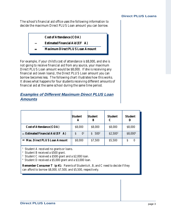The school's financial aid office uses the following information to decide the maximum Direct PLUS Loan amount you can borrow.



For example, if your child's cost of attendance is \$8,000, and she is not going to receive financial aid from any source, your maximum Direct PLUS Loan amount would be \$8,000. If she is receiving any financial aid (even loans), the Direct PLUS Loan amount you can borrow becomes less. The following chart illustrates how this works. It shows what happens for four students receiving different amounts of financial aid at the same school during the same time period.

#### **Examples of Different Maximum Direct PLUS Loan Amounts**

|                                 | <b>Student</b><br>A | <b>Student</b><br>В | <b>Student</b><br>C | <b>Student</b><br>Ð |
|---------------------------------|---------------------|---------------------|---------------------|---------------------|
| <b>Cost of Attendance (COA)</b> | \$8,000             | \$8,000             | \$8,000             | \$8,000             |
| -Estimated Financial Aid (EF A) | 0 <sup>1</sup><br>S | $500^2$<br>S        | $$2,500^3$          | \$8,0004            |
| = Max. Direct PLUS Loan Amount  | \$8,000             | \$7,500             | \$5,500             | S<br>0              |

<sup>1</sup> Student A received no grants or loans.

<sup>2</sup> Student B received a \$500 grant.

<sup>3</sup> Student C received a \$500 grant and a \$2,000 loan.

4 Student D received a \$5,000 grant and a \$3,000 loan.

**Remember Consumer T ip #1:** Parents of Students A, B, and C need to decide if they can afford to borrow \$8,000, \$7,500, and \$5,500, respectively.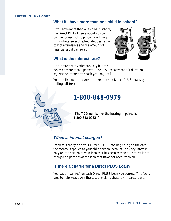#### **What if I have more than one child in school?**

If you have more than one child in school, the Direct PLUS Loan amount you can borrow for each child probably will vary. This is because each school decides its own cost of attendance and the amount of financial aid it can award.



#### **What is the interest rate?**

The interest rate varies annually but can never be more than 9 percent. The U.S. Department of Education adjusts the interest rate each year on July 1.

You can find out the current interest rate on Direct PLUS Loans by calling toll-free:

# **1-800-848-0979**

(The TDD number for the hearing-impaired is **1-800-848-0983** .)

#### **When is interest charged?**

Interest is charged on your Direct PLUS Loan beginning on the date the money is applied to your child's school account. You pay interest only on the portion of your loan that has been received. Interest is not charged on portions of the loan that have not been received.

#### **Is there a charge for a Direct PLUS Loan?**

You pay a "loan fee" on each Direct PLUS Loan you borrow. The fee is used to help keep down the cost of making these low-interest loans.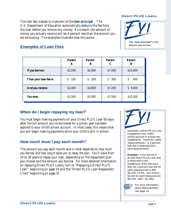The loan fee is equal to 4 percent of the **loan principal** . The U.S. Department of Education automatically deducts the fee from the loan before you receive any money. As a result, the amount of money you actually receive will be 4 percent less than the amount you are borrowing. The examples illustrate how this works.

#### **Direct PLUS Loans**



#### **Examples of Loan Fees**

|                        | Parent<br>A | <b>Parent</b><br>В | <b>Parent</b><br>C | <b>Parent</b><br>D |
|------------------------|-------------|--------------------|--------------------|--------------------|
| If you borrow:         | \$2,500     | \$5,000            | \$7,500            | \$10,000           |
| Then your loan fee is: | 100<br>\$   | 200<br>\$          | \$300              | 400<br>\$          |
| And you receive:       | \$2,400     | \$4,800            | \$7,200            | \$9,600            |
| You owe:               | \$2,500     | \$5,000            | \$7,500            | \$10,000           |

#### **When do I begin repaying my loan?**

You must begin making payments on your Direct PLUS Loan 60 days after the full amount you've borrowed for a school year has been applied to your child's school account. In most cases, this means that you will begin making payments while your child is still in school.

#### **How much must I pay each month?**

The amount you pay each month and in total depends on *how much you borrow* and *how long it takes you to repay the loan*. You'll have from 10 to 30 years to repay your loan, depending on the repayment plan you choose and the amount you borrow. For more detailed information on repaying Direct PLUS Loans, turn to "Repaying a Direct PLUS Loan" beginning on page 19 and the "Direct PLUS Loan Repayment Chart" beginning on page 37.



Generally, a Direct PLUS Loan is applied to your child's school account in at least two installments. These are called "disbursements." A 4 percent loan fee is deducted from each disbursement.

**Example:** If you borrow a \$2,500 Direct PLUS Loan that is disbursed in two installments of \$1,250 each, then the 4 percent loan fee for each disbursement is \$50 (\$1,250 x 0.04). You receive \$1,200 for each disbursement  $($1,250 - $50 = $1,200).$ 

For more information about disbursements, see page 15.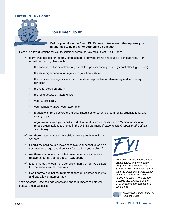

#### **Consumer Tip #2**

**Before you take out a Direct PLUS Loan**, **think about other options you might have to help pay for your child's education**.

Here are a few questions for you to consider before borrowing a Direct PLUS Loan:

- $\blacktriangleright$  Is my child eligible for federal, state, school, or private grants and loans or scholarships? For more information, check with:
	- the financial aid administrator at your child's postsecondary school (school after high school)
	- the state higher education agency in your home state
	- the public-school agency in your home state responsible for elementary and secondary schools\*
	- the Americorps program\*
	- the local Veterans' Affairs office
	- your public library
	- your company and/or your labor union
	- foundations, religious organizations, fraternities or sororities, community organizations, and civic groups
	- organizations from your child's field of interest, such as the American Medical Association (these organizations are listed in the U.S. Department of Labor's The Occupational Outlook Handbook)
- $\triangleright$  Are there opportunities for my child to work part time while in school?
- $\vee$  Should my child go to a lower-cost, two-year school, such as a community college, and then transfer to a four-year college?
- $\triangleright$  Are there any private loans that have better interest rates and repayment terms than a Direct PLUS Loan?
- $\vee$  Is a home-equity loan more beneficial than a Direct PLUS Loan for someone in my tax bracket?
- $\vee$  Can I borrow against my retirement account or other accounts and pay a lower interest rate?

\*The Student Guide has addresses and phone numbers to help you contact these agencies.



For free information about federal grants, loans, and work-study programs, get a copy of The Student Guide: Financial Aid from the U.S. Department of Education by calling **1-800-4-FEDAID** (1-800-433-3243). The Student Guide is also available on the U.S. Department of Education's Web site at:

www.ed.gov/prog\_info/SFA/ Student Guide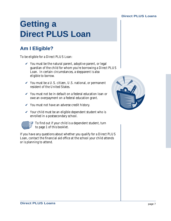# **Getting a Direct PLUS Loan**

# **Am I Eligible?**

To be eligible for a Direct PLUS Loan:

- $\checkmark$  You must be the natural parent, adoptive parent, or legal guardian of the child for whom you're borrowing a Direct PLUS Loan. In certain circumstances, a stepparent is also eligible to borrow.
- $\checkmark$  You must be a U.S. citizen, U.S. national, or permanent resident of the United States.
- $\vee$  You must not be in default on a federal education loan or owe an overpayment on a federal education grant.
- $\checkmark$  You must not have an adverse credit history.
- $\checkmark$  Your child must be an eligible dependent student who is enrolled in a postsecondary school.



 $\mathbb{F}$  To find out if your child is a dependent student, turn to page 1 of this booklet.

If you have any questions about whether you qualify for a Direct PLUS Loan, contact the financial aid office at the school your child attends or is planning to attend.

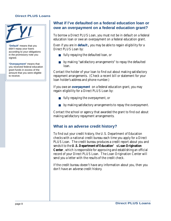

"**Default**" means that you didn't repay your loans according to your obligations in the promissory note you signed.

"**Overpayment**" means that you received federal education grant funds in excess of the amount that you were eligible to receive.

#### **What if I've defaulted on a federal education loan or owe an overpayment on a federal education grant?**

To borrow a Direct PLUS Loan, you must not be in default on a federal education loan or owe an overpayment on a federal education grant.

Even if you are in **default ,** you may be able to regain eligibility for a Direct PLUS Loan by:

- fully repaying the defaulted loan, or
- by making "satisfactory arrangements" to repay the defaulted loan.

Contact the holder of your loan to find out about making satisfactory repayment arrangements. (Check a recent bill or statement for your loan holder's address and phone number.)

If you owe an **overpayment** on a federal education grant, you may regain eligibility for a Direct PLUS Loan by:

- fully repaying the overpayment, or
- by making satisfactory arrangements to repay the overpayment.

Contact the school or agency that awarded the grant to find out about making satisfactory repayment arrangements.

#### **What is an adverse credit history?**

To find out your credit history, the U.S. Department of Education checks with a national credit bureau each time you apply for a Direct PLUS Loan. The credit bureau produces a credit report about you and sends it to the **U.S. Department of Education' s Loan Origination Center**, which is responsible for approving and establishing an official record of your Direct PLUS Loan. The Loan Origination Center will send you a letter with the results of the credit check.

If the credit bureau doesn't have any information about you, then you don't have an adverse credit history.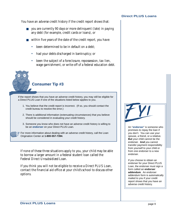You have an adverse credit history if the credit report shows that:

- you are currently 90 days or more delinquent (late) in paying any debt (for example, credit cards or loans), or
- within five years of the date of the credit report, you have:
	- been determined to be in default on a debt;
	- had your debts discharged in bankruptcy; or
	- been the subject of a foreclosure, repossession, tax lien, wage garnishment, or write-off of a federal education debt.



#### **Consumer Tip #3**

If the report shows that you have an adverse credit history, you may still be eligible for a Direct PLUS Loan if one of the situations listed below applies to you.

- 1. You believe that the credit report is incorrect. (If so, you should contact the credit bureau to resolve the error.)
- 2. There is additional information (extenuating circumstances) that you believe should be considered in evaluating your credit history.
- 3. Someone you know who does not have an adverse credit history is willing to be an **endorser** on your Direct PLUS Loan.

**P** For more information about dealing with an adverse credit history, call the Loan Origination Center at **1-800-557-7394**.

If none of these three situations apply to you, your child may be able to borrow a larger amount in a federal student loan called the Federal Direct Unsubsidized Loan.

If you think you will not be eligible to receive a Direct PLUS Loan, contact the financial aid office at your child's school to discuss other options.

An "**endorser**" is someone who promises to repay the loan if you don't. You can use your spouse, a friend, or a relative. **But** your child cannot be the endorser. **And** you cannot transfer payment responsibility from yourself to your child or from one endorser to a new endorser.

If you choose to obtain an endorser for your Direct PLUS Loan, the endorser must sign a form called an **endorser addendum**. An endorser addendum form is automatically mailed to you if your credit report shows that you have an adverse credit history.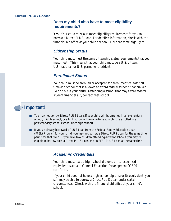#### **Does my child also have to meet eligibility requirements?**

**Yes.** Your child must also meet eligibility requirements for you to borrow a Direct PLUS Loan. For detailed information, check with the financial aid office at your child's school. Here are some highlights.

#### **Citizenship Status**

Your child must meet the same citizenship status requirements that you must meet. This means that your child must be a U.S. citizen, U.S. national, or U.S. permanent resident.

#### **Enrollment Status**

Your child must be enrolled or accepted for enrollment at least half time at a school that is allowed to award federal student financial aid. To find out if your child is attending a school that may award federal student financial aid, contact that school.

## **Important!**

- You may not borrow Direct PLUS Loans if your child will be enrolled in an elementary school, middle school, or a high school at the same time your child is enrolled in a postsecondary school (school after high school).
- If you've already borrowed a PLUS Loan from the Federal Family Education Loan (FFEL) Program for your child, you may not borrow a Direct PLUS Loan for the same time period for that child. If you have two children attending different schools, you may be eligible to borrow both a Direct PLUS Loan and an FFEL PLUS Loan at the same time.

#### **Academic Credentials**

Your child must have a high-school diploma or its recognized equivalent, such as a General Education Development (GED) certificate.

If your child does not have a high-school diploma or its equivalent, you still may be able to borrow a Direct PLUS Loan under certain circumstances. Check with the financial aid office at your child's school.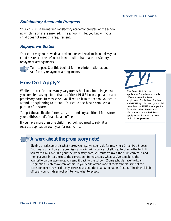#### **Satisfactory Academic Progress**

Your child must be making satisfactory academic progress at the school at which he or she is enrolled. The school will let you know if your child does not meet this requirement.

#### **Repayment Status**

Your child may not have defaulted on a federal student loan *unless* your child has repaid the defaulted loan in full or has made satisfactory repayment arrangements.



Turn to page 8 of this booklet for more information about satisfactory repayment arrangements.

# **How Do I Apply?**

While the specific process may vary from school to school, in general, you complete a single form that is a Direct PLUS Loan application and promissory note. In most cases, you'll return it to the school your child attends or is planning to attend. Your child also has to complete a portion of this form.

You get the application/promissory note and any additional forms from your child's school's financial aid office.

If you have more than one child in school, you need to submit a separate application each year for each child.

The Direct PLUS Loan application/promissory note is different from the Free Application for Federal Student Aid (FAFSA). You and your child complete the FAFSA to apply for federal **student** financial aid. You **cannot** use a FAFSA to apply for a Direct PLUS Loan, which is for **parents**.

# **A word about the promissory note!**

Signing this document is what makes you legally responsible for repaying a Direct PLUS Loan. You must sign and date the promissory note in ink. You are not allowed to change the text. If you make a mistake filling out the promissory note, you must cross out the error, correct it, and then put your initials next to the correction. In most cases, when you've completed the application/promissory note, you send it back to the school. (Some schools have the Loan Origination Center take care of this. If your child attends one of these schools, some of the correspondence may be directly between you and the Loan Origination Center. The financial aid office at your child's school will tell you what to expect.)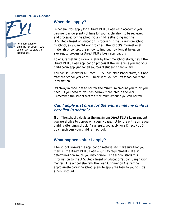

#### **When do I apply?**

In general, you apply for a Direct PLUS Loan each academic year. Be sure to allow plenty of time for your application to be reviewed and processed by the school your child is attending and the U.S. Department of Education. Processing time varies from school to school, so you might want to check the school's informational materials or contact the school to find out how long it takes, on average, to process its Direct PLUS Loan applications.

To ensure that funds are available by the time school starts, begin the Direct PLUS Loan application process at the same time you and your child begin applying for all sources of student financial aid.

You can still apply for a Direct PLUS Loan after school starts, but not after the school year ends. Check with your child's school for more information.

It's always a good idea to borrow the minimum amount you think you'll need. If you need to, you can borrow more later in the year. Remember, the school sets the maximum amount you can borrow.

#### **Can I apply just once for the entire time my child is enrolled in school?**

**No**. The school calculates the maximum Direct PLUS Loan amount you are eligible to borrow on a yearly basis, not for the entire time your child is attending school. As a result, you apply for a Direct PLUS Loan each year your child is in school.

#### **What happens after I apply?**

The school reviews the application materials to make sure that you meet all the Direct PLUS Loan eligibility requirements. It also determines how much you may borrow. The school sends this information to the U.S. Department of Education's Loan Origination Center. The school also tells the Loan Origination Center the approximate dates the school plans to apply the loan to your child's school account.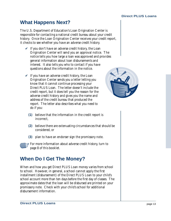# **What Happens Next?**

The U.S. Department of Education's Loan Origination Center is responsible for contacting a national credit bureau about your credit history. Once the Loan Origination Center receives your credit report, it checks to see whether you have an adverse credit history.

- $\checkmark$  If you don't have an adverse credit history, the Loan Origination Center will send you an approval notice. The notice tells you how large a loan was approved and provides general information about loan disbursements and interest. It also tells you who to contact if you have questions about the information in the notice.
- $\vee$  If you have an adverse credit history, the Loan Origination Center sends you a letter letting you know that it cannot continue processing your Direct PLUS Loan. The letter doesn't include the credit report, but it does tell you the reason for the adverse credit history and gives you the name and address of the credit bureau that produced the report. The letter also describes what you need to do if you:



- **(1)** believe that the information in the credit report is incorrect,
- **(2)** believe there are extenuating circumstances that should be considered, or
- **(3)** plan to have an endorser sign the promissory note.

For more information about adverse credit history, turn to page 8 of this booklet.

## **When Do I Get The Money?**

When and how you get Direct PLUS Loan money varies from school to school. However, in general, a school cannot apply the first installment (disbursement) of the Direct PLUS Loan to your child's school account more than ten days before the first day of classes. The approximate dates that the loan will be disbursed are printed on your promissory note. Check with your child's school for additional disbursement information.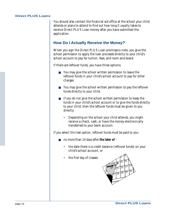You should also contact the financial aid office at the school your child attends or plans to attend to find out how long it usually takes to receive Direct PLUS Loan money after you have submitted the application.

#### **How Do I Actually Receive the Money?**

When you sign the Direct PLUS Loan promissory note, you give the school permission to apply the loan proceeds directly to your child's school account to pay for tuition, fees, and room and board.

If there are leftover funds, you have three options:

- You may give the school written permission to leave the leftover funds in your child's school account to pay for other charges.
- You may give the school written permission to pay the leftover funds directly to your child.
- If you do not give the school written permission to keep the funds in your child's school account or to give the funds directly to your child, then the leftover funds must be given to you directly.
	- Depending on the school your child attends, you might receive a check, cash, or have the money electronically transferred to your bank account.

If you select this last option, leftover funds must be paid to you:

- no more than 14 days after **the later of** :
	- the date there is a credit balance (leftover funds) on your child's school account, or
	- the first day of classes.

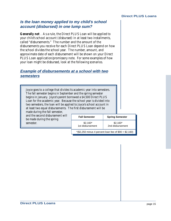#### **Is the loan money applied to my child's school account (disbursed) in one lump sum?**

**Generally not** . As a rule, the Direct PLUS Loan will be applied to your child's school account (disbursed) in at least two installments, called "disbursements." The number and the amount of the disbursements you receive for each Direct PLUS Loan depend on how the school divides the school year. The number, amount, and approximate date of each disbursement will be shown on your Direct PLUS Loan application/promissory note. For some examples of how your loan might be disbursed, look at the following scenarios.

#### **Example of disbursements at a school with two semesters**

Joyce goes to a college that divides its academic year into semesters. The fall semester begins in September and the spring semester begins in January. Joyce's parent borrowed a \$4,500 Direct PLUS Loan for the academic year. Because the school year is divided into two semesters, the loan will be applied to Joyce's school account in at least two equal disbursements. The first disbursement will be

made during the fall semester, and the second disbursement will be made during the spring semester.

| <b>Fall Semester</b>                                     | <b>Spring Semester</b>        |  |  |
|----------------------------------------------------------|-------------------------------|--|--|
| $$2,160*$<br>1st disbursement                            | $$2,160*$<br>2nd disbursement |  |  |
| $*(\$2,250$ minus 4 percent loan fee of $\$90 = \$2,160$ |                               |  |  |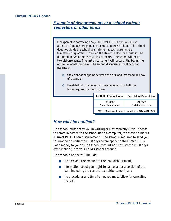#### **Example of disbursements at a school without semesters or other terms**

Hal's parent is borrowing a \$2,200 Direct PLUS Loan so Hal can attend a 12-month program at a technical (career) school. The school does not divide the school year into terms, such as semesters, trimesters, or quarters. However, the Direct PLUS Loan must still be disbursed in two or more equal installments. The school will make two disbursements. The first disbursement will occur at the beginning of the 12-month program. The second disbursement will occur at **the later of** :

- $\Diamond$  the calendar midpoint between the first and last scheduled day of classes, or
- ◊ the date Hal completes half the course work or half the hours required by the program.

| 1st Half of School Year                                                   | 2nd Half of School Year       |  |
|---------------------------------------------------------------------------|-------------------------------|--|
| $$1,056*$<br>1st disbursement                                             | $$1,056*$<br>2nd disbursement |  |
| $*(\$1,100 \text{ minus } 4 \text{ percent loan fee of } \$44 = \$1,056)$ |                               |  |

#### **How will I be notified?**

The school must notify you in writing or electronically (if you choose to communicate with the school using a computer) whenever it makes a Direct PLUS Loan disbursement. The school is required to send you this notice no earlier than 30 days before applying the Direct PLUS Loan money to your child's school account and not later than 30 days after applying it to your child's school account.

The school's notice will include:

- the date and the amount of the loan disbursement,
- information about your right to cancel all or a portion of the loan, including the current loan disbursement, and
- the procedures and time frames you must follow for canceling the loan.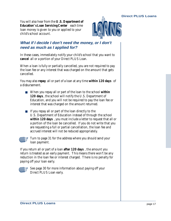You will also hear from the **U.S. Department of Education' s Loan Servicing Center** each time loan money is given to you or applied to your child's school account.



#### **What if I decide I don't need the money, or I don't need as much as I applied for?**

In these cases, immediately notify your child's school that you want to **cancel** all or a portion of your Direct PLUS Loan.

When a loan is fully or partially cancelled, you are not required to pay the loan fee or any interest that was charged on the amount that gets cancelled.

You may also **repay** all or part of a loan at any time **within 120 days** of a disbursement.

- When you repay all or part of the loan to the school **within 120 days** , the school will notify the U.S. Department of Education, and you will not be required to pay the loan fee or interest that was charged on the amount returned.
- If you repay all or part of the loan directly to the U.S. Department of Education instead of through the school **within 120 days** , you must include a letter to request that all or a portion of the loan be cancelled. If you do not write that you are requesting a full or partial cancellation, the loan fee and accrued interest will not be reduced appropriately.



Turn to page 31 for the address where you should send your loan payment.

If you return all or part of a loan **after 120 days** , the amount you return is treated as an early payment. This means there won't be any reduction in the loan fee or interest charged. There is no penalty for paying off your loan early.



See page 30 for more information about paying off your Direct PLUS Loan early.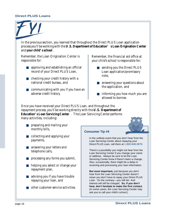In the previous section, you learned that throughout the Direct PLUS Loan application process you'll be working with the **U.S. Department of Education' s Loan Origination Center** and **your child' s school** .

Remember, the Loan Origination Center is responsible for:

- approving and establishing an official record of your Direct PLUS Loan,
- $\blacksquare$  checking your credit history with a national credit bureau, and
- communicating with you if you have an adverse credit history.

Remember, the financial aid office at your child's school is responsible for:

- sending you the Direct PLUS Loan application/promissory note,
- answering your questions about the application, and
- informing you how much you are allowed to borrow.

Once you have received your Direct PLUS Loan, and throughout the repayment process, you'll be working directly with the **U.S. Department of Education' s Loan Servicing Center** . The Loan Servicing Center performs many activities, including:

- preparing and mailing your monthly bills,
- collecting and applying your payments,
- answering your letters and telephone calls,
- processing any forms you submit,
- helping you select or change your repayment plan,
- advising you if you have trouble repaying your loan, and
- other customer-service activities.



#### **Consumer Tip #4**

In the unlikely event that you don't hear from the Loan Servicing Center about repaying your Direct PLUS Loan, call them at 1-800-848-0979.

There's a possibility you might not hear from the Loan Servicing Center if you change your name or address. Always be sure to let the Loan Servicing Center know if there's been a change. Also, occasionally, there might be a delay in receiving and processing your loan information.

**But most important,** just because you don't hear from the Loan Servicing Center doesn't mean you don't have to repay your Direct PLUS Loan. On the contrary—you still do! And interest will still be charged. **So, if you don't hear, don't hesitate to make the first contact.** (In some cases, the Loan Servicing Center may ask you to call your child's school.)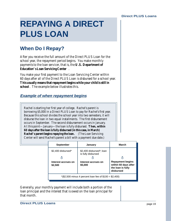# **REPAYING A DIRECT PLUS LOAN**

# **When Do I Repay?**

After you receive the full amount of the Direct PLUS Loan for the school year, the repayment period begins. You make monthly payments to the loan servicer, that is, the **U.S. Department of Education' s Loan Servicing Center** .

You make your first payment to the Loan Servicing Center within 60 days after all of the Direct PLUS Loan is disbursed for a school year. **This usually means that repayment begins while your child is still in school** . The example below illustrates this.

#### **Example of when repayment begins**

Rachel is starting her first year of college. Rachel's parent is borrowing \$5,000 in a Direct PLUS Loan to pay for Rachel's first year. Because this school divides the school year into two semesters, it will disburse the loan in two equal installments. The first disbursement occurs in September. The second disbursement occurs in January. At this point—January—the loan is fully disbursed. **Then, within 60 days after the loan is fully disbursed (in this case, in March) Rachel's parent begins repaying the loan.** (The Loan Servicing Center will send Rachel's parent a bill with a payment due date.)

| <b>September</b>                                          | January                                        | March                                                                             |  |
|-----------------------------------------------------------|------------------------------------------------|-----------------------------------------------------------------------------------|--|
| \$2,400 disbursed*                                        | \$2,400 disbursed*; loan<br>is fully disbursed |                                                                                   |  |
|                                                           |                                                |                                                                                   |  |
| Interest accrues on<br>\$2,500                            | Interest accrues on<br>\$5,000                 | <b>Repayment begins</b><br>within 60 days after<br>the loan is fully<br>disbursed |  |
| $*(\$2,500$ minus 4 percent loan fee of $\$100 = \$2,400$ |                                                |                                                                                   |  |

Generally, your monthly payment will include both a portion of the loan principal and the interest that is owed on the loan principal for that month.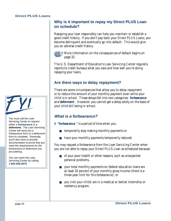#### **Why is it important to repay my Direct PLUS Loan on schedule?**

Repaying your loan responsibly can help you maintain or establish a good credit history. If you don't pay back your Direct PLUS Loans, you become delinquent and eventually go into default. This would give you an adverse credit history.

• More information on the consequences of default begins on page 32.

The U.S. Department of Education's Loan Servicing Center regularly reports to credit bureaus what you owe and how well you're doing repaying your loans.

#### **Are there ways to delay repayment?**

There are some circumstances that allow you to delay repayment or to reduce the amount of your monthly payment even while your child is in school. These delays fall into two categories: **forbearance** and **deferment** . However, you cannot get a delay solely on the basis of your child still being in school.

#### **What is a forbearance?**

A "**forbearance** " is a period of time when you:

- temporarily stop making monthly payments or
- have your monthly payments temporarily reduced.

You may request a forbearance from the Loan Servicing Center when you are not able to repay your Direct PLUS Loan as scheduled because:

- of your poor health or other reasons, such as unexpected personal problems,
- your total monthly payments on federal education loans are at least 20 percent of your monthly gross income (there is a three-year limit for this forbearance), or
- you (not your child) are in a medical or dental internship or residency program.



You must call the Loan Servicing Center to request either a **forbearance** or a **deferment.** The Loan Servicing Center will send you a forbearance form or a deferment form to complete. Generally, you'll also have to provide documentation to prove that you meet the requirements for the forbearance or deferment you are seeking.

You can reach the Loan Servicing Center by calling **1-800-848-0979**.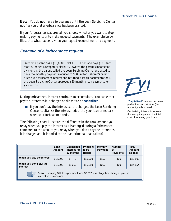**Note**: You do not have a forbearance until the Loan Servicing Center notifies you that a forbearance has been granted.

If your forbearance is approved, you choose whether you want to stop making payments or to make reduced payments. The example below illustrates what happens when you request reduced monthly payments.

#### **Example of a forbearance request**

Deborah's parent has a \$10,000 Direct PLUS Loan and pays \$101 each month. When a temporary disability lowered the parent's income for six months, the parent called the Loan Servicing Center and asked to have the monthly payments reduced to \$50. After Deborah's parent filled out a forbearance request and returned it (with documentation), the Loan Servicing Center approved \$50 monthly loan payments for six months.

During forbearance, interest continues to accumulate. You can either pay the interest as it is charged or allow it to be **capitalized** .

■ If you don't pay the interest as it is charged, the Loan Servicing Center capitalizes the interest (adds it to your loan principal) when your forbearance ends.

The following chart illustrates the difference in the total amount you repay when you pay the interest as it is charged during a forbearance compared to the amount you repay when you don't pay the interest as it is charged and it is added to the loan principal (capitalized).

|                                                                                                                           | Loan<br><b>Amount</b> | <b>Capitalized</b><br>Interest for<br>12 months | <b>Principal</b><br>to be<br><b>Repaid</b> | <b>Monthly</b><br><b>Payment</b> | <b>Number</b><br>οf<br><b>Payments</b> | <b>Total</b><br>Amount<br><b>Repaid</b> |
|---------------------------------------------------------------------------------------------------------------------------|-----------------------|-------------------------------------------------|--------------------------------------------|----------------------------------|----------------------------------------|-----------------------------------------|
| When you pay the interest                                                                                                 | \$15,000              | \$<br>$\Omega$                                  | \$15,000                                   | \$190                            | 120                                    | \$22,802                                |
| When you don't pay the<br>interest                                                                                        | \$15,000              | \$1,350                                         | \$16,350                                   | \$207                            | 120                                    | \$24,854                                |
| Result: You pay \$17 less per month and \$2,052 less altogether when you pay the<br>WILLIAM<br>interest as it is charged. |                       |                                                 |                                            |                                  |                                        |                                         |



**"Capitalized"** interest becomes part of the loan principal (the amount you borrowed).

Capitalizing interest increases the loan principal and the total cost of repaying your loans.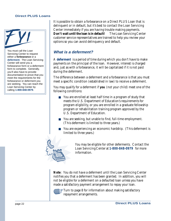

You must call the Loan Servicing Center to request either a **forbearance** or a **deferment**. The Loan Servicing Center will send you a forbearance form or a deferment form to complete. Generally, you'll also have to provide documentation to prove that you meet the requirements for the forbearance or deferment you are seeking. You can reach the Loan Servicing Center by calling **1-800-848-0979**.

It is possible to obtain a forbearance on a Direct PLUS Loan that is delinquent or in default, but it's best to contact the Loan Servicing Center immediately if you are having trouble making payments. **Don't wait until the loan is in default!** The Loan Servicing Center customer service representatives are trained to help you review your options so you can avoid delinquency and default.

#### **What is a deferment?**

A **deferment** is a period of time during which you don't have to make payments on the principal of the loan. However, interest is charged and, just as with a forbearance, it will be capitalized if it is not paid during the deferment.

The difference between a deferment and a forbearance is that you must meet a specific condition (established in law) to receive a deferment.

You may qualify for a deferment if **you** (not your child) meet one of the following conditions:

- You are enrolled at least half time in a program of study that meets the U.S. Department of Education's requirements for program eligibility, or you are enrolled in a graduate fellowship program or rehabilitation training program approved by the U.S. Department of Education.
- You are seeking, but unable to find, full-time employment. (This deferment is limited to three years.)
- You are experiencing an economic hardship. (This deferment is limited to three years.)



You may be eligible for other deferments. Contact the Loan Servicing Center at **1-800-848-0979** for more information.

**Note**: You do not have a deferment until the Loan Servicing Center notifies you that a deferment has been granted. In addition, you will not be eligible for a deferment on a defaulted loan unless you have made a satisfactory payment arrangement to repay your loan.

Turn to page 8 for information about making satisfactory repayment arrangements.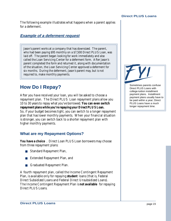The following example illustrates what happens when a parent applies for a deferment.

#### **Example of a deferment request**

Jason's parent works at a company that has downsized. The parent, who had been paying \$95 monthly on a \$7,500 Direct PLUS Loan, was laid off. The parent began looking for work immediately and also called the Loan Servicing Center for a deferment form. After Jason's parent completed the form and returned it, along with documentation of the situation, the Loan Servicing Center approved a deferment for six months. During the deferment, Jason's parent may, but is not required to, make monthly payments.

## **How Do I Repay?**

After you have received your loan, you will be asked to choose a repayment plan. The Direct PLUS Loan repayment plans allow you 10 to 30 years to repay what you've borrowed. **You can even switch repayment plans while you're repaying your Direct PLUS Loan.** So, if your budget becomes tight, you can switch to a longer repayment plan that has lower monthly payments. When your financial situation is stronger, you can switch back to a shorter repayment plan with higher monthly payments.

#### **What are my Repayment Options?**

**You have a choice** . Direct Loan PLUS Loan borrowers may choose from three repayment plans:

- Standard Repayment Plan,
- Extended Repayment Plan, and
- Graduated Repayment Plan.

A fourth repayment plan, called the Income Contingent Repayment Plan, is available only for repaying **student** loans (that is, Federal Direct Subsidized Loans and Federal Direct Unsubsidized Loans). The Income Contingent Repayment Plan is **not available** for repaying Direct PLUS Loans.



Sometimes parents confuse Direct PLUS Loans with college-tuition installment payment plans. Installment payment plans usually have to be paid within a year; Direct PLUS Loans have a much longer repayment time.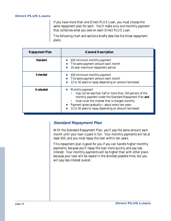If you have more than one Direct PLUS Loan, you must choose the same repayment plan for each. You'll make only one monthly payment that combines what you owe on each Direct PLUS Loan.

The following chart and sections briefly describe the three repayment plans.

| <b>Repayment Plan</b> | <b>General Description</b>                                                                                                                                                                                                                                                                        |
|-----------------------|---------------------------------------------------------------------------------------------------------------------------------------------------------------------------------------------------------------------------------------------------------------------------------------------------|
| <b>Standard</b>       | \$50 minimum monthly payment<br>The same payment amount each month<br>10-year maximum repayment period                                                                                                                                                                                            |
| <b>Extended</b>       | \$50 minimum monthly payment<br>The same payment amount each month<br>12 to 30 years to repay depending on amount borrowed                                                                                                                                                                        |
| <b>Graduated</b>      | Monthly payment<br>may not be less than half or more than 150 percent of the<br>monthly payment under the Standard Repayment Plan and<br>must cover the interest that is charged monthly<br>Payment grows gradually-about every two years<br>12 to 30 years to repay depending on amount borrowed |

#### **Standard Repayment Plan**

With the Standard Repayment Plan, you'll pay the same amount each month until your loan is paid in full. Your monthly payments will be at least \$50, and you must repay the loan within ten years.

This repayment plan is good for you if you can handle higher monthly payments, because you'll repay the loan more quickly and pay less interest. Your monthly payments will be higher than with other plans because your loan will be repaid in the shortest possible time, but you will pay less interest overall.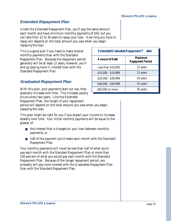### **Extended Repayment Plan**

Under the Extended Repayment Plan, you'll pay the same amount each month and have minimum monthly payments of \$50, but you can take from 12 to 30 years to repay your loan. How long you have to repay will depend on the total amount you owe when you begin repaying the loan.

This is a good plan if you need to make smaller monthly payments than with the Standard Repayment Plan. Because the repayment period generally will be at least 12 years, however, you'll end up paying more in interest than with the Standard Repayment Plan.

### **Graduated Repayment Plan**

With this plan, your payments start out low, then gradually increase over time. The increase usually occurs every two years. Like the Extended Repayment Plan, the length of your repayment period will depend on the total amount you owe when you begin repaying the loan.

This plan might be right for you if you expect your income to increase steadily over time. Your initial monthly payments will be equal to the greater of:

- the interest that is charged on your loan between monthly payments, or
- half of the payment you'd make each month with the Standard Repayment Plan.

Your monthly payments will never be less than half of what you'd pay each month with the Standard Repayment Plan or more than 150 percent of what you would pay each month with the Standard Repayment Plan. Because of the longer repayment period, you probably will pay more interest with the Graduated Repayment Plan than with the Standard Repayment Plan.

| <b>Extended/Graduated Repayment T</b> able |                                    |  |  |
|--------------------------------------------|------------------------------------|--|--|
| <b>Amount of Debt</b>                      | Maximum<br><b>Repayment Period</b> |  |  |
| Less than \$10,000                         | 12 years                           |  |  |
| \$10,000 - \$19,999                        | 15 years                           |  |  |
| \$20,000 - \$39,999                        | 20 years                           |  |  |
| \$40,000 - \$59,999                        | 25 years                           |  |  |
| \$60,000 or more                           | 30 years                           |  |  |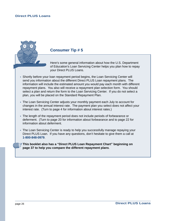#### **Consumer Tip # 5**

Here's some general information about how the U.S. Department of Education's Loan Servicing Center helps you plan how to repay your Direct PLUS Loans.

- Shortly before your loan repayment period begins, the Loan Servicing Center will send you information about the different Direct PLUS Loan repayment plans. The information will include the estimated amount you would pay each month with different repayment plans. You also will receive a repayment plan selection form. You should select a plan and return the form to the Loan Servicing Center. If you do not select a plan, you will be placed on the Standard Repayment Plan.
- The Loan Servicing Center adjusts your monthly payment each July to account for changes in the annual interest rate. The payment plan you select does not affect your interest rate. (Turn to page 4 for information about interest rates.)
- The length of the repayment period does not include periods of forbearance or deferment. (Turn to page 20 for information about forbearance and to page 22 for information about deferment.
- The Loan Servicing Center is ready to help you successfully manage repaying your Direct PLUS Loan. If you have any questions, don't hesitate to give them a call at **1-800-848-0979**.
- **This booklet also has a "Direct PLUS Loan Repayment Chart" beginning on page 37 to help you compare the different repayment plans**.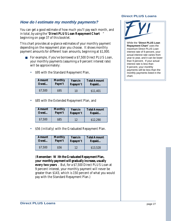#### **How do I estimate my monthly payments?**

You can get a good estimate of how much you'll pay each month, and in total, by using the "**Direct PLUS Loan Repayment Chart** " beginning on page 37 of this booklet.

This chart provides at-a-glance estimates of your monthly payment depending on the repayment plan you choose. It shows monthly payment amounts for different loan amounts, beginning at \$1,000.

- For example, if you've borrowed a \$7,500 Direct PLUS Loan, your monthly payments (assuming a 9 percent interest rate) will be approximately:
	- \$95 with the Standard Repayment Plan,

| <b>Amount</b> | <b>Monthly</b> | <b>Years in</b> | <b>Total Amount</b> |
|---------------|----------------|-----------------|---------------------|
| Owed          | Paym't         | Repaym't        | Repaid              |
| \$7,500       | S95            | 10              | \$11,401            |

• \$85 with the Extended Repayment Plan, and

| <b>Amount</b> | <b>Monthly</b> | <b>Years in</b> | <b>Total Amount</b> |
|---------------|----------------|-----------------|---------------------|
| Owed          | Paym't         | Repaym't        | Repaid              |
| \$7,500       | S85            | 12              | \$12,290            |

• \$56 (initially) with the Graduated Repayment Plan.

| <b>Amount</b> | <b>Monthly</b> | <b>Years in</b> | <b>Total Amount</b> |
|---------------|----------------|-----------------|---------------------|
| Owed          | Paym't         | Repaym't        | Repaid              |
| \$7,500       | S56            | 12              | \$13,528            |

(**Remember: W ith the Graduated Repayment Plan, your monthly payment will gradually increase, usually every two years** . But, for a \$7,500 Direct PLUS Loan at 9 percent interest, your monthly payment will never be greater than \$143, which is 150 percent of what you would pay with the Standard Repayment Plan.)

#### **Direct PLUS Loans**



While the "**Direct PLUS Loan Repayment Chart**" uses the maximum Direct PLUS Loan interest rate of 9 percent, your actual interest rate varies from year to year, and it can be lower than 9 percent. If your actual interest rate is less than 9 percent, your monthly payments will be less than the monthly payments listed in the chart.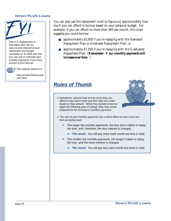

The U.S. Department of Education also has an easy-to-use interactive loan repayment and budget calculator on its Web site that you can use to estimate your monthly payments if you have access to the Internet.

 $\mathbb{F}$  The Internet address is:

www.ed.gov/DirectLoan/ calc.html

You can also use the repayment chart to figure out approximately how much you can afford to borrow based on your personal budget. For example, if you can afford no more than \$60 per month, this chart suggests you could borrow:

- approximately \$5,000 if you're repaying with the Standard Repayment Plan or Extended Repayment Plan, or
- approximately \$7,500 if you're repaying with the Graduated Repayment Plan. (**Remember: Y our monthly payments will increase over time** .)

## **Rules of Thumb**

1. Sometimes, parents look at how much they can afford to pay each month and then take out a loan based on that amount. When they decide to borrow again the following year of college, they may not be prepared for the increase in monthly payments.



- $\checkmark$  The larger the monthly payments, the less time it takes to repay the loan, and, therefore, the less interest is charged.
	- ➥ **The result**: You will pay more each month but less in total.
- $\checkmark$  The smaller the monthly payments, the longer it takes to repay the loan, and the more interest is charged.
	- ➥ **The result**: You will pay less each month but more in total.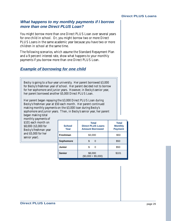#### **What happens to my monthly payments if I borrow more than one Direct PLUS Loan?**

You might borrow more than one Direct PLUS Loan over several years for one child in school. Or, you might borrow two or more Direct PLUS Loans in the same academic year because you have two or more children in school at the same time.

The following scenarios, which assume the Standard Repayment Plan and a 9 percent interest rate, show what happens to your monthly payments if you borrow more than one Direct PLUS Loan.

#### **Example of borrowing for one child**

Becky is going to a four-year university. Her parent borrowed \$3,000 for Becky's freshman year of school. Her parent decided not to borrow for her sophomore and junior years. However, in Becky's senior year, her parent borrowed another \$5,000 Direct PLUS Loan.

Her parent began repaying the \$3,000 Direct PLUS Loan during Becky's freshman year at \$50 each month. Her parent continued making monthly payments on the \$3,000 loan during Becky's sophomore and junior years. Then, in Becky's senior year, her parent

began making total monthly payments of \$101 each month on \$8,000 (\$3,000 for Becky's freshman year and \$5,000 for her senior year).

| <b>School</b><br>Year | <b>Total</b><br><b>Direct PLUS Loans</b><br><b>Amount Borrowed</b> | <b>Total</b><br><b>Monthly</b><br><b>Payment</b> |
|-----------------------|--------------------------------------------------------------------|--------------------------------------------------|
| Freshman              | \$3,000                                                            | \$50                                             |
| Sophomore             | \$.<br>ი                                                           | \$50                                             |
| <b>Junior</b>         | \$                                                                 | \$50                                             |
| <b>Senior</b>         | \$8,000<br>$($3,000 + $5,000)$                                     | \$101                                            |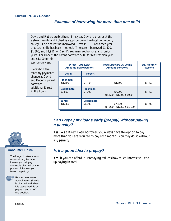#### **Example of borrowing for more than one child**

David and Robert are brothers. This year, David is a junior at the state university and Robert is a sophomore at the local community college. Their parent has borrowed Direct PLUS Loans each year that each child has been in school. The parent borrowed \$1,500, \$1,800, and \$1,950 for David's freshman, sophomore, and junior years. For Robert, the parent borrowed \$900 for his freshman year and \$1,100 for his

sophomore year.

Here's how the monthly payment change as David and Robert's pare borrowed additional Direct PLUS Loans.

|     | <b>Direct PLUS Loan</b><br><b>Amounts Borrowed for:</b> |                              | <b>Total Direct PLUS Loans</b><br><b>Amount Borrowed</b> | <b>Total Monthly</b><br><b>Payment</b> |
|-----|---------------------------------------------------------|------------------------------|----------------------------------------------------------|----------------------------------------|
| ts  | <b>David</b>                                            | <b>Robert</b>                |                                                          |                                        |
| nt: | <b>Freshman</b><br>\$1,500                              | \$<br>$\Omega$               | \$1,500                                                  | \$<br>50                               |
|     | <b>Sophomore</b><br>\$1,800                             | <b>Freshman</b><br>\$<br>900 | \$4,200<br>$($1,500 + $1,800 + $900)$                    | \$<br>53                               |
|     | <b>Junior</b><br>\$1,950                                | <b>Sophomore</b><br>\$1,100  | \$7,250<br>$($4,200 + $1,950 + $1,100)$                  | \$<br>92                               |

#### **Can I repay my loans early (prepay) without paying a penalty?**

**Yes.** As a Direct Loan borrower, you always have the option to pay more than you are required to pay each month. You may do so without any penalty.

#### **Is it a good idea to prepay?**

**Yes**, if you can afford it. Prepaying reduces how much interest you end up paying in total.



#### **Consumer Tip #6**

The longer it takes you to repay a loan, the more interest you will pay. Interest is charged on the portion of the loan you haven't repaid yet.



Related information about interest (how it is charged and when it is capitalized) is on pages 4 and 21 of this booklet.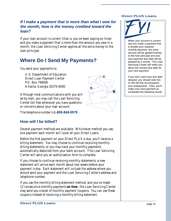#### **If I make a payment that is more than what I owe for the month, how is the money credited toward the loan?**

If your loan account is current (that is, you've been paying on time) and you make a payment that is more than the amount you owe in a month, the Loan Servicing Center applies all the extra money to the loan principal.

# **Where Do I Send My Payments?**

You send your payments to:

U.S. Department of Education Direct Loan Payment Center P.O. Box 746000 Atlanta, Georgia 30374-6000

Although most communications with you will be by mail, you may call the Loan Servicing Center toll free whenever you have questions or concerns about your loan account.

The telephone number is **1-800-848-0979** .

#### **How will I be billed?**

Several payment methods are available. Whichever method you use, one payment each month will cover all your Direct Loans.

Before the first payment on your Direct PLUS is due, you'll receive a billing statement. You may choose to continue receiving monthly billing statements, or you may have your monthly payments automatically deducted from your bank account. The Loan Servicing Center will send you an authorization form to complete.

If you choose to continue receiving monthly statements, a new statement will arrive each month about two weeks before your payment is due. Each statement will include the address where you should send your payment and the Loan Servicing Center's address and telephone number.

If you use the monthly billing statement method, and you've made 12 consecutive monthly payments **on time** , the Loan Servicing Center may send you a book of monthly payment coupons. You can use these coupons instead of receiving a monthly billing statement.

#### **Direct PLUS Loans**



When your account is current and you make a payment that is double your required monthly payment, the extra amount will be applied entirely to the loan principal and your next payment due date will be delayed by a month. The Loan Servicing Center will notify you about the revised due date for your next payment.

If you don't want your due date delayed, you should note this on the bill that accompanies your prepayment. Then, you'll make your next payment as scheduled the following month.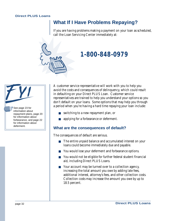## **What If I Have Problems Repaying?**

If you are having problems making a payment on your loan as scheduled, call the Loan Servicing Center immediately at:



# **1-800-848-0979**

 $\frac{3}{5}$  See page 23 for information about repayment plans, page 20 for information about forbearance, and page 22 for information about deferment.

A customer service representative will work with you to help you avoid the costs and consequences of delinquency, which could result in defaulting on your Direct PLUS Loan. Customer service representatives are trained to help you understand your options so you don't default on your loans. Some options that may help you through a period when you're having a hard time repaying your loan include:

- switching to a new repayment plan, or
- applying for a forbearance or deferment.

#### **What are the consequences of default?**

The consequences of default are serious.

- The entire unpaid balance and accumulated interest on your loans could become immediately due and payable.
- You would lose your deferment and forbearance options.
- You would not be eligible for further federal student financial aid, including Direct PLUS Loans.
- Your account may be turned over to a collection agency, increasing the total amount you owe by adding late fees, additional interest, attorney's fees, and other collection costs. Collection costs may increase the amount you owe by up to 18.5 percent.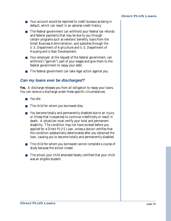- Your account would be reported to credit bureaus as being in default, which can result in an adverse credit history.
- The federal government can withhold your federal tax refunds and federal payments that may be due to you through certain programs such as veterans' benefits, loans from the Small Business Administration, and subsidies through the U.S. Department of Agriculture and U.S. Department of Housing and Urban Development.
- Your employer, at the request of the federal government, can withhold ("garnish") part of your wages and give them to the federal government to repay your debt.
- The federal government can take legal action against you.

#### **Can my loans ever be discharged?**

**Yes.** A discharge releases you from all obligation to repay your loans. You can receive a discharge under these specific circumstances:

- You die.
- The child for whom you borrowed dies.
- You become totally and permanently disabled due to an injury or illness that is expected to continue indefinitely or result in death. A physician must certify your total and permanent disability. The condition may not have existed before you applied for a Direct PLUS Loan, unless a doctor certifies that the condition substantially deteriorated after you obtained the loan, causing you to become totally and permanently disabled.
- The child for whom you borrowed cannot complete a course of study because the school closed.
- The school your child attended falsely certified that your child was an eligible student.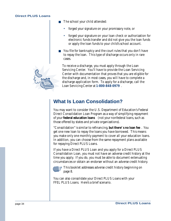

- The school your child attended:
	- forged your signature on your promissory note, or
	- forged your signature on your loan check or authorization for electronic funds transfer and did not give you the loan funds or apply the loan funds to your child's school account.
- You file for bankruptcy and the court rules that you don't have to repay the loan. This type of discharge occurs only in rare cases.

To receive a discharge, you must apply through the Loan Servicing Center. You'll have to provide the Loan Servicing Center with documentation that proves that you are eligible for the discharge and, in most cases, you will have to complete a discharge application form. To apply for a discharge, call the Loan Servicing Center at **1-800-848-0979** .

# **What Is Loan Consolidation?**

You may want to consider the U.S. Department of Education's Federal Direct Consolidation Loan Program as a way of simplifying repayment of your **federal education loans** (not your nonfederal loans, such as those offered by states and private organizations).

"Consolidation" is similar to refinancing, **but there' s no loan fee** . You get one new loan to repay the loans you have borrowed. This means you make only one monthly payment to cover all your education loans. In addition, you can choose from the same repayment plans available for repaying Direct PLUS Loans.

If you have a Direct PLUS Loan and you apply for a Direct PLUS Consolidation Loan, you must not have an adverse credit history at the time you apply. If you do, you must be able to document extenuating circumstances or obtain an endorser without an adverse credit history.



This booklet addresses adverse credit history beginning on page 8.

You can also consolidate your Direct PLUS Loans with your FFEL PLUS Loans. Here's a brief scenario.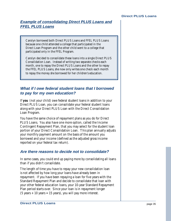#### **Example of consolidating Direct PLUS Loans and FFEL PLUS Loans**

Carolyn borrowed both Direct PLUS Loans and FFEL PLUS Loans because one child attended a college that participated in the Direct Loan Program and the other child went to a college that participated only in the FFEL Program.

Carolyn decided to consolidate these loans into a single Direct PLUS Consolidation Loan. Instead of writing two separate checks each month, one to repay the Direct PLUS Loans and the other to repay the FFEL PLUS Loans, she now only writes one check each month to repay the money she borrowed for her children's education.

#### **What if I owe federal student loans that I borrowed to pay for my own education?**

If **you** (not your child) owe federal student loans in addition to your Direct PLUS Loan, you can consolidate your federal student loans along with your Direct PLUS Loan with the Direct Consolidation Loan Program.

You have the same choice of repayment plans as you do for Direct PLUS Loans. You also have one more option, called the Income Contingent Repayment Plan, that you may select for the student loan portion of your Direct Consolidation Loan. This plan annually adjusts your monthly payment amount on the basis of the amount you borrowed and your income (defined as the adjusted gross income reported on your federal tax return).

#### **Are there reasons to decide not to consolidate?**

In some cases, you could end up paying more by consolidating all loans than if you didn't consolidate.

The length of time you have to repay your new consolidation loan is not affected by how long your loans have already been in repayment. If you have been repaying a loan for five years with the Standard Repayment Plan and decide to consolidate that loan with your other federal education loans, your 10-year Standard Repayment Plan period starts over. Since your loan is in repayment longer  $(5 \text{ years} + 10 \text{ years} = 15 \text{ years})$ , you will pay more interest.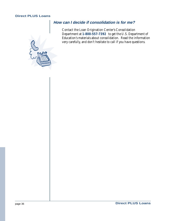

#### **How can I decide if consolidation is for me?**

Contact the Loan Origination Center's Consolidation Department at **1-800-557-7392** to get the U.S. Department of Education's materials about consolidation. Read the information very carefully, and don't hesitate to call if you have questions.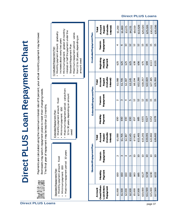**Direct PLUS Loans** page 37

# Direct PLUS Loan Repayment Chart **Direct PLUS Loan Repayment Chart**

Payments are calculated using the maximum interest rate of 9 percent; your actual monthly payment may be lower. Payments are calculated using the maximum interest rate of 9 percent; your actual monthly payment may be lower. Borrowers may switch repayment plans to meet their changing needs. Borrowers may switch repayment plans to meet their changing needs. The final year of repayment may be less than 12 months. The final year of repayment may be less than 12 months.

| Graduated Repaymer<br>Monthly payment<br>increases about ev<br>Minimum paymer<br>interest or half the                                                             | Standard Repaym |
|-------------------------------------------------------------------------------------------------------------------------------------------------------------------|-----------------|
| Maximum repayment period: varies from<br>12 to 30 years, depending on amount<br>Monthly payment amount: fixed<br>Minimum payment: \$50<br>Extended Repayment Plan | owed            |
| · Maximum repayment period: 10 years<br>• Monthly payment amount: fixed<br>Minimum payment: \$50<br>Standard Repayment Plan                                       |                 |

| raduated Repayment Plan | $M$ onthis normant anomant and |
|-------------------------|--------------------------------|
|                         |                                |

- amount: gradually Monthly payment amount: gradually
	- ery two years increases about every two years
- it: greater of monthly Minimum payment: greater of monthly e payment under the interest or half the payment under the
	- ent Plan Standard Repayment Plan
- Maximum repayment period: varies Maximum repayment period: varies from 12 to 30 years, depending on from 12 to 30 years, depending on amount owed amount owed

|                                 | Repaid<br>(Includes<br><b>Amount</b><br>Interest)<br>Total           | \$1,200                  | \$1,800               | \$3,075    | \$4,231                | \$9,019        | \$13,528       | \$20,020      | \$25,026        | \$30,032        | \$35,036    |
|---------------------------------|----------------------------------------------------------------------|--------------------------|-----------------------|------------|------------------------|----------------|----------------|---------------|-----------------|-----------------|-------------|
| <b>Graduated Repayment Plan</b> | Repayment<br><b>Years</b> in                                         |                          | అ                     |            | $\mathbf{2}$           | $\frac{2}{1}$  | $\mathbf{2}$   | 15            | 15              | $\overline{15}$ | 15          |
|                                 | Beginning<br>Monthly<br>Payment                                      | <b>S25</b>               | \$25                  | \$25       | \$25                   | \$38           | \$56           | S75           | \$94            | \$113           | \$131       |
|                                 | Repaid<br>(Includes<br>Interest)<br>Amount<br>Total                  | \$1,088                  | \$1,705               | S2,387     | \$3,145                | \$8,194        | \$12,290       | \$18,257      | \$22,820        | \$27,385        | \$31,950    |
| <b>Extended Repayment Plan</b>  | Repayment<br><b>Years</b> in                                         | $\sim$                   | ∾                     |            | 5                      | $\mathbf{2}$   | $\overline{2}$ | $\frac{2}{3}$ | 15              | $\overline{15}$ | 15          |
|                                 | Monthly<br>Payment                                                   | $\overline{\text{S}}$ 50 | $\overline{\text{0}}$ | <b>S50</b> | \$50                   | \$57           | \$85           | S101          | \$127           | S152            | \$178       |
|                                 | Includes<br>Interest)<br>Amount<br>Repaid<br>Total                   | \$1,088                  | \$1,705               | \$2,387    | \$3,145                | \$7,601        | \$11,401       | \$15,201      | \$19,001        | \$22,802        | \$26,602    |
| <b>Standard Repayment Plan</b>  | Repayment<br><b>Years</b> in                                         | $\sim$                   | ∽                     |            | ທ                      | $\overline{1}$ | $\Xi$          | ≘             | $\overline{10}$ | $\Xi$           | $\Xi$       |
|                                 | Payment<br>Monthly                                                   | S50                      | \$50                  | S50        | $\overline{\text{}}50$ | \$63           | \$95           | \$127         | \$158           | \$190           | <b>S222</b> |
|                                 | <b>Dwed When</b><br><b>Loan Enters</b><br>Repayment<br><b>Amount</b> | \$1,000                  | \$1,500               | \$2,000    | \$2,500                | \$5,000        | \$7,500        | \$10,000      | \$12,500        | \$15,000        | \$17,500    |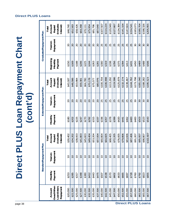# **Direct PLUS Loan Repayment Chart** Direct PLUS Loan Repayment Chart<br>(cont'd)

|                                 | <b>Includes</b><br><b>Amount</b><br>Interest)<br>Repaid<br>Total | \$46,740        | \$52,583        | \$58,426        | \$64,268        | \$70,11                  | \$75,954        | \$81,796        | \$87,640                  | \$107,507       | \$114,224       | \$120,949 | \$127,667       | \$134,384       | \$141.104       | \$147,824       | \$154.541   | \$183,073                            | \$190,704       | \$198,326                | \$205,955       |
|---------------------------------|------------------------------------------------------------------|-----------------|-----------------|-----------------|-----------------|--------------------------|-----------------|-----------------|---------------------------|-----------------|-----------------|-----------|-----------------|-----------------|-----------------|-----------------|-------------|--------------------------------------|-----------------|--------------------------|-----------------|
| <b>Graduated Repayment Plan</b> | Repayment<br><b>Years</b> in                                     | $\overline{20}$ | $\overline{20}$ | $\overline{20}$ | $\overline{20}$ | $\overline{20}$          | $\overline{20}$ | $\overline{20}$ | $\overline{20}$           | 25              | 25              | 25        | 25              | 25              | 25              | 25              | 25          | $\overline{30}$                      | $30\,$          | $30\,$                   | $\overline{30}$ |
|                                 | Beginning<br>Monthly<br>Payment                                  | \$150           | \$169           | \$188           | <b>\$206</b>    | \$225                    | \$244           | \$263           | \$281                     | \$300           | \$319           | \$338     | \$356           | \$375           | \$394           | <b>S413</b>     | <b>S431</b> | \$450                                | \$469           | \$488                    | \$506           |
|                                 | <b>Includes</b><br><b>Amount</b><br>Interest)<br>Repaid<br>Total | \$43,187        | \$48,586        | \$53,984        | \$59,381        | \$64,780                 | \$70,178        | \$75,577        | \$80,976                  | \$100,704       | \$106,998       | \$113,292 | \$119,586       | \$125,879       | \$132,174       | \$138,467       | \$144,762   | \$173,798                            | \$181,040       | \$188,282                | \$195,523       |
| <b>Extended Repayment Plan</b>  | Repayment<br><b>Years</b> in                                     | $\overline{20}$ | $\overline{20}$ | $\overline{20}$ | $\overline{20}$ | $\overline{\mathcal{Z}}$ | $\overline{20}$ | $\overline{20}$ | $\overline{\mathfrak{L}}$ | 25              | 25              | 25        | 25              | 25              | 25              | 25              | 25          | Z                                    | 30              | $\overline{\mathrm{30}}$ | $\mathcal{S}$   |
|                                 | Monthly<br>Payment                                               | \$180           | \$202           | \$225           | \$247           | \$270                    | <b>S292</b>     | \$315           | \$337                     | \$336           | \$357           | \$378     | \$399           | \$420           | \$441           | \$462           | \$483       | \$483                                | \$503           | \$523                    | \$543           |
| an                              | (Includes<br>Amount<br>Interest)<br>Repaid<br>Total              | \$30,402        | \$34,202        | \$38,003        | \$41,803        | \$45,603                 | \$49,404        | \$53,204        | \$57,004                  | \$60,804        | \$64,605        | \$68,405  | \$72,205        | \$76,005        | \$79,806        | \$83,606        | \$87,406    | \$91,207                             | \$95,007        | \$98,807                 | \$102,607       |
| <b>Standard Repayment Pla</b>   | Repayment<br><b>Years</b> in                                     | $\overline{10}$ | $\Box$          | $\overline{10}$ | $\overline{10}$ | $\overline{10}$          | $\overline{10}$ | $\Box$          | $\overline{10}$           | $\overline{10}$ | $\overline{10}$ | $\Box$    | $\overline{10}$ | $\overline{10}$ | $\overline{10}$ | $\overline{10}$ | $\Box$      | $\overline{10}$                      | $\overline{10}$ | $\overline{10}$          | $\Xi$           |
|                                 | Payment<br>Monthly                                               | \$253           | \$285           | \$317           | \$348           | \$380                    | \$412           | \$443           | \$475                     | \$507           | \$538           | \$570     | \$602           | \$633           | \$665           | \$697           | \$728       | \$760                                | S792            | \$823                    | \$855           |
|                                 | Owed When<br><b>Loan Enters</b><br>Repayment<br>Amount           | \$20,000        | \$22,500        | \$25,000        | S27,500         | \$30,000                 | \$32,500        | \$35,000        | \$37,500                  | \$40,000        | \$42,500        | \$45,000  | \$47,500        | \$50,000        | \$52,500        | \$55,000        | \$57,500    | \$60,000<br><b>Direct PLUS Loans</b> | \$62,500        | \$65,000                 | \$67,500        |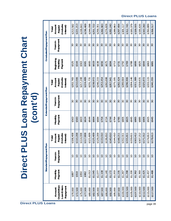| Chart<br>Repayment<br>Dan<br>$\overline{\mathbf{C}}$<br>I | Cont'd |
|-----------------------------------------------------------|--------|
| $\mathbb{R}^2$                                            |        |
| irect                                                     |        |

| <b>Direct PLUS Loans</b> |                                                        |                    | Direct PI                    |                                                                  |                    |                                | <b>US Loan Repayment Chart</b>                            |                                 |                                 |                                                           |
|--------------------------|--------------------------------------------------------|--------------------|------------------------------|------------------------------------------------------------------|--------------------|--------------------------------|-----------------------------------------------------------|---------------------------------|---------------------------------|-----------------------------------------------------------|
|                          |                                                        |                    |                              |                                                                  |                    | (cont'd)                       |                                                           |                                 |                                 |                                                           |
|                          |                                                        |                    | Standard Repayment Plan      |                                                                  |                    | <b>Extended Repayment Plan</b> |                                                           |                                 | <b>Graduated Repayment Plan</b> |                                                           |
|                          | Owed When<br><b>Loan Enters</b><br>Repayment<br>Amount | Payment<br>Monthly | Repayment<br><b>Years</b> in | <b>Includes</b><br><b>Amount</b><br>Interest)<br>Repaid<br>Total | Payment<br>Monthly | Repayment<br><b>Years</b> in   | <b>Includes</b><br>Amount<br>Interest)<br>Repaid<br>Total | Beginning<br>Monthly<br>Payment | Repayment<br><b>Years</b> in    | <b>Includes</b><br>Amount<br>Interest)<br>Repaid<br>Total |
|                          | \$70,000                                               | \$887              | $\overline{10}$              | \$106,408                                                        | \$563              | $\mathcal{S}$                  | \$202,765                                                 | \$525                           | $\overline{\mathbb{S}}$         | \$213,582                                                 |
|                          | \$72,500                                               | \$918              | $\overline{10}$              | \$110,208                                                        | \$583              | $\mathcal{S}$                  | \$210,006                                                 | \$544                           | $\mathcal{S}$                   | S221,213                                                  |
|                          | \$75,000                                               | \$950              | $\overline{10}$              | \$114,008                                                        | \$603              | $\mathcal{S}$                  | \$217,248                                                 | \$563                           | $\overline{30}$                 | S228,843                                                  |
|                          | \$77,500                                               | \$982              | $\overline{10}$              | \$117,808                                                        | \$624              | $30\,$                         | \$224,489                                                 | \$581                           | $30\,$                          | \$236,469                                                 |
|                          | \$80,000                                               | \$1,013            | $\overline{10}$              | \$121,609                                                        | \$644              | $\mathcal{S}$                  | \$231,731                                                 | \$600                           | $\mathcal{S}$                   | \$244,098                                                 |
|                          | \$82,500                                               | \$1,045            | $\overline{10}$              | \$125,409                                                        | \$664              | $30\,$                         | S238,972                                                  | \$619                           | $30\,$                          | \$251,722                                                 |
|                          | \$85,000                                               | \$1,077            | $\overline{10}$              | \$129,209                                                        | \$684              | $\boldsymbol{\mathcal{S}}$     | \$246,215                                                 | \$638                           | $\mathcal{S}$                   | \$259,351                                                 |
|                          | \$87,500                                               | \$1,108            | $\overline{10}$              | \$133,010                                                        | \$704              | $30\,$                         | \$253,454                                                 | \$656                           | $30\,$                          | \$266,983                                                 |
|                          | \$90,000                                               | \$1,140            | $\overline{10}$              | \$136,810                                                        | \$724              | $\boldsymbol{\mathcal{S}}$     | \$260,698                                                 | \$675                           | $\mathcal{S}$                   | \$274,609                                                 |
|                          | \$92,500                                               | \$1,172            | $\overline{10}$              | \$140,610                                                        | \$744              | $30\,$                         | \$267,941                                                 | \$694                           | $30\,$                          | \$282,240                                                 |
|                          | \$95,000                                               | \$1,203            | $\overline{10}$              | \$144,410                                                        | \$764              | $\boldsymbol{\mathcal{S}}$     | \$275,181                                                 | \$713                           | $\boldsymbol{\mathcal{S}}$      | \$289,863                                                 |
|                          | \$97,500                                               | \$1,235            | $\overline{10}$              | \$148,211                                                        | \$785              | $30\,$                         | S282,424                                                  | \$731                           | $30\,$                          | \$297,494                                                 |
|                          | \$100,000                                              | S1,267             | $\overline{10}$              | \$152,011                                                        | \$805              | $\mathcal{S}$                  | \$289,664                                                 | \$750                           | $\overline{30}$                 | \$305,117                                                 |
|                          | \$102,500                                              | \$1,298            | $\overline{10}$              | \$155,811                                                        | \$825              | $30\,$                         | \$296,906                                                 | \$769                           | $30\,$                          | \$312,745                                                 |
|                          | \$105,000                                              | \$1,330            | $\overline{10}$              | \$159,611                                                        | \$845              | $30\,$                         | \$304,146                                                 | \$788                           | $30\,$                          | \$320,379                                                 |
|                          | \$107,500                                              | \$1,362            | $\overline{10}$              | \$163,412                                                        | \$865              | $\mathcal{S}$                  | \$311,389                                                 | \$806                           | $30\,$                          | \$328,005                                                 |
|                          | \$110,000                                              | \$1,393            | $\overline{10}$              | \$167,212                                                        | \$885              | $\mathcal{S}$                  | \$318,631                                                 | \$825                           | $\mathcal{S}$                   | \$335,635                                                 |
|                          | \$112,500                                              | \$1,425            | $\overline{10}$              | \$171,012                                                        | \$905              | $30\,$                         | \$325,872                                                 | \$844                           | 30                              | \$343,260                                                 |
|                          | \$115,000                                              | \$1,457            | $\overline{10}$              | \$174,813                                                        | \$925              | $\mathcal{S}$                  | \$333,115                                                 | \$863                           | $\mathcal{S}$                   | \$350,889                                                 |
| page 39                  | \$117,500                                              | \$1,488            | 10                           | \$178,613                                                        | \$945              | $30\,$                         | \$340,355                                                 | \$881                           | $30\,$                          | \$358,517                                                 |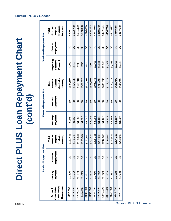# **Direct PLUS Loan Repayment Chart** Direct PLUS Loan Repayment Chart<br>(cont'd)

|                                 | (Includes<br>Amount<br>Interest)<br>Repaid<br>Total       | \$366,141                | \$373,778                | \$381,399                | \$389,030                | \$396,659 | \$404,283                | \$411,915                | \$419,540                | \$427,171                | \$434,796                | \$442,427 | \$450,058       | \$457,678                |
|---------------------------------|-----------------------------------------------------------|--------------------------|--------------------------|--------------------------|--------------------------|-----------|--------------------------|--------------------------|--------------------------|--------------------------|--------------------------|-----------|-----------------|--------------------------|
| <b>Graduated Repayment Plan</b> | Repayment<br><b>Years</b> in                              | $\overline{\mathrm{30}}$ | $\overline{\mathrm{30}}$ | $\overline{\mathrm{30}}$ | $\overline{\mathrm{30}}$ | వె        | $\overline{\mathrm{30}}$ | $\overline{\mathrm{30}}$ | $\overline{\mathrm{30}}$ | వె                       | $\overline{30}$          | వి        | $\overline{30}$ | $\overline{30}$          |
|                                 | Beginning<br>Monthly<br>Payment                           | \$900                    | \$919                    | \$938                    | \$956                    | \$262     | \$994                    | \$1,013                  | \$1,031                  | \$1,050                  | \$1,069                  | \$1,088   | \$1,106         | \$1,125                  |
|                                 | <b>Includes</b><br>Amount<br>Interest)<br>Repaid<br>Total | \$347,597                | \$354,838                | \$362,081                | \$369,320                | \$376,563 | \$383,803                | \$391,046                | \$398,290                | \$405,530                | \$412,772                | \$420,012 | \$426,492       | \$434,496                |
| <b>Extended Repayment Plan</b>  | Repayment<br><b>Years</b> in                              | Z                        | 30                       | $\overline{\mathrm{30}}$ | $\Im$                    | 30        | 30                       | 30                       | 30                       | $\overline{\mathrm{30}}$ | $\overline{\mathrm{30}}$ | Z         | $\Im$           | $\overline{\mathrm{30}}$ |
|                                 | Monthly<br>Payment                                        | \$966                    | \$986                    | \$1,006                  | \$1,026                  | \$1,046   | \$1,066                  | \$1,086                  | \$1,106                  | S1,126                   | \$1,147                  | \$1,167   | \$1,187         | \$1,207                  |
|                                 | (Includes<br>Amount<br>Interest)<br>Repaid<br>Total       | \$182,413                | \$186,213                | \$190,014                | \$193,814                | \$197,614 | \$201,414                | \$205,215                | \$209,015                | \$212,815                | \$216,616                | \$220,416 | \$224,216       | \$228,016                |
| <b>Standard Repayment Plan</b>  | Repayment<br><b>Years</b> in                              | $\Xi$                    | $\Box$                   | $\overline{10}$          | $\overline{10}$          | $\Xi$     | $\overline{10}$          | $\overline{10}$          | $\overline{10}$          | $\Xi$                    | $\overline{10}$          | $\Xi$     | $\Xi$           | $\Xi$                    |
|                                 | Monthly<br>Payment                                        | \$1,520                  | \$1,552                  | \$1,583                  | \$1,615                  | \$1,647   | \$1,678                  | \$1,710                  | \$1,742                  | \$1,773                  | \$1,805                  | \$1,837   | \$1,868         | \$1,900                  |
|                                 | Owed When<br><b>Loan Enters</b><br>Repayment<br>Amount    | \$120,000                | \$122,500                | \$125,000                | \$127,500                | \$130,000 | \$132,500                | \$135,000                | \$137,500                | \$140,000                | \$142,500                | \$145,000 | \$147,500       | \$150,000                |

#### **Direct PLUS Loans**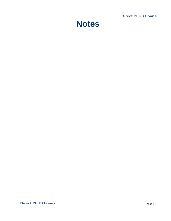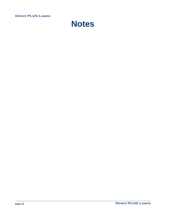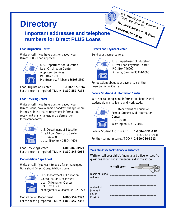# **Directory**

## **Important addresses and telephone numbers for Direct PLUS Loans**

#### **Loan Origination Center**

Write or call if you have questions about your Direct PLUS Loan approval.



U.S. Department of Education Loan Origination Center Applicant Services P.O. Box 5691 Montgomery, Alabama 36103-5691

Loan Origination Center.................**1-800-557-7394** For the hearing-impaired, TDD # **1-800-557-7395**

#### **Loan Servicing Center**

Write or call if you have questions about your Direct Loans, have a name or address change, or are interested in estimated repayment information, repayment plan changes, and deferment or forbearance forms.



U.S. Department of Education Direct Loan Servicing Center P.O. Box 4609 Utica, New York 13504-4609

Loan Servicing Center....................**1-800-848-0979** For the hearing-impaired, TDD # **1-800-848-0983**

#### **Consolidation Department**

Write or call if you want to apply for or have questions about Direct Consolidation Loans.



U.S. Department of Education Consolidation Department Loan Origination Center P.O. Box 1723 Montgomery, Alabama 36102-1723

Consolidation Department.............**1-800-557-7392** For the hearing-impaired, TDD # **1-800-557-7395**

#### **Direct Loan Payment Center**

Send your payments here.



U.S. Department of Education Direct Loan Payment Center P.O. Box 746000 Atlanta, Georgia 30374-6000

You can contact the W<sup>our</sup> Can contact the W

Direct Loan Web Site<br> **You can contact the Web**<br>
www.ed.gov/DirectLoan

U.S. Department of Education's

 **eb site at:**

For questions about your payments, call the Loan Servicing Center

#### **Federal Student Aid Information Center**

Write or call for general information about federal student aid grants, loans, and work-study.



U.S. Department of Education Federal Student Aid Information Center P.O. Box 84 Washington, D.C. 20044

Federal Student Aid Info. Ctr.........**1-800-4FED-AID** (1-800-433-3243) For the hearing-impaired, TDD # **1-800-730-8913**

#### **Your child' s school' s financial aid office**

Write or call your child's financial aid office for specific questions about student financial aid at the school.

|                                                | write it down! | $\overline{\phantom{a}}$ | $\odot$ | $\odot$ |
|------------------------------------------------|----------------|--------------------------|---------|---------|
| Name of School _____________<br><b>Address</b> |                |                          |         |         |
| Aid Admin.<br>Phone #<br>Fax #<br>Email #      |                |                          |         |         |
|                                                |                |                          |         |         |